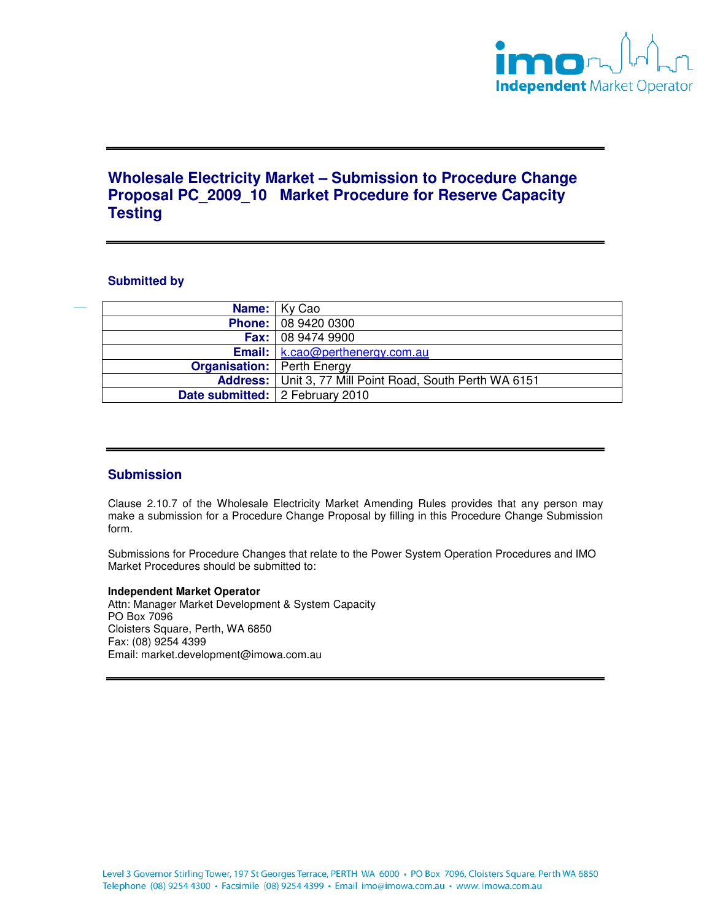

# **Wholesale Electricity Market – Submission to Procedure Change Proposal PC\_2009\_10 Market Procedure for Reserve Capacity Testing**

#### **Submitted by**

| <b>Name:</b> Ky Cao                                        |
|------------------------------------------------------------|
| <b>Phone:</b> 08 9420 0300                                 |
| Fax: 08 9474 9900                                          |
| Email:   k.cao@perthenergy.com.au                          |
| <b>Organisation:</b> Perth Energy                          |
| Address:   Unit 3, 77 Mill Point Road, South Perth WA 6151 |
| Date submitted:   2 February 2010                          |
|                                                            |

#### **Submission**

Clause 2.10.7 of the Wholesale Electricity Market Amending Rules provides that any person may make a submission for a Procedure Change Proposal by filling in this Procedure Change Submission form.

Submissions for Procedure Changes that relate to the Power System Operation Procedures and IMO Market Procedures should be submitted to:

#### **Independent Market Operator** Attn: Manager Market Development & System Capacity

PO Box 7096 Cloisters Square, Perth, WA 6850 Fax: (08) 9254 4399 Email: market.development@imowa.com.au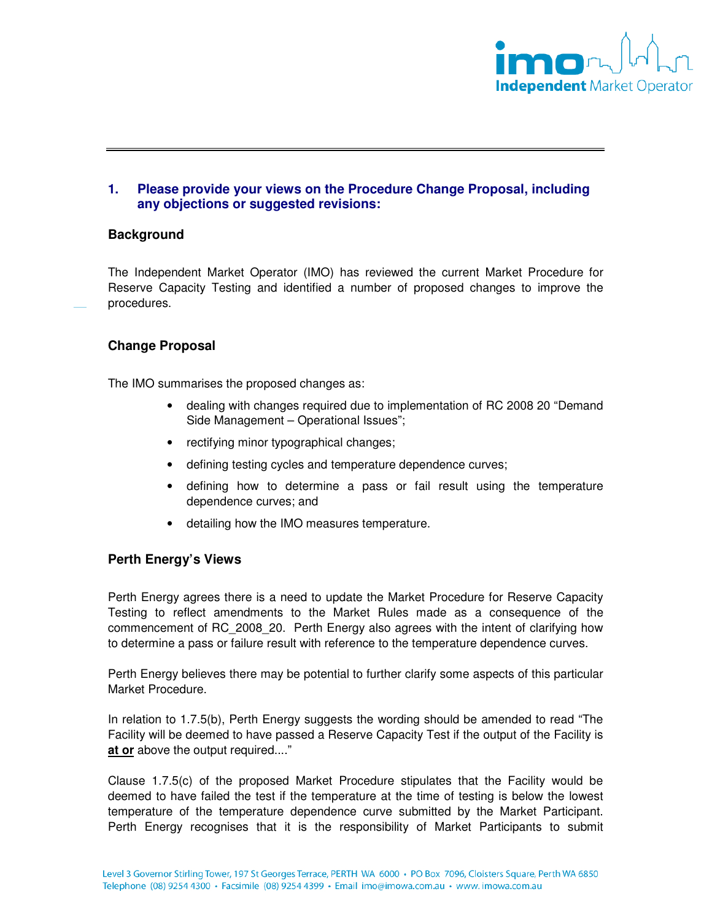

# **1. Please provide your views on the Procedure Change Proposal, including any objections or suggested revisions:**

# **Background**

The Independent Market Operator (IMO) has reviewed the current Market Procedure for Reserve Capacity Testing and identified a number of proposed changes to improve the procedures.

# **Change Proposal**

The IMO summarises the proposed changes as:

- dealing with changes required due to implementation of RC 2008 20 "Demand Side Management – Operational Issues";
- rectifying minor typographical changes;
- defining testing cycles and temperature dependence curves;
- defining how to determine a pass or fail result using the temperature dependence curves; and
- detailing how the IMO measures temperature.

#### **Perth Energy's Views**

Perth Energy agrees there is a need to update the Market Procedure for Reserve Capacity Testing to reflect amendments to the Market Rules made as a consequence of the commencement of RC\_2008\_20. Perth Energy also agrees with the intent of clarifying how to determine a pass or failure result with reference to the temperature dependence curves.

Perth Energy believes there may be potential to further clarify some aspects of this particular Market Procedure.

In relation to 1.7.5(b), Perth Energy suggests the wording should be amended to read "The Facility will be deemed to have passed a Reserve Capacity Test if the output of the Facility is at or above the output required...."

Clause 1.7.5(c) of the proposed Market Procedure stipulates that the Facility would be deemed to have failed the test if the temperature at the time of testing is below the lowest temperature of the temperature dependence curve submitted by the Market Participant. Perth Energy recognises that it is the responsibility of Market Participants to submit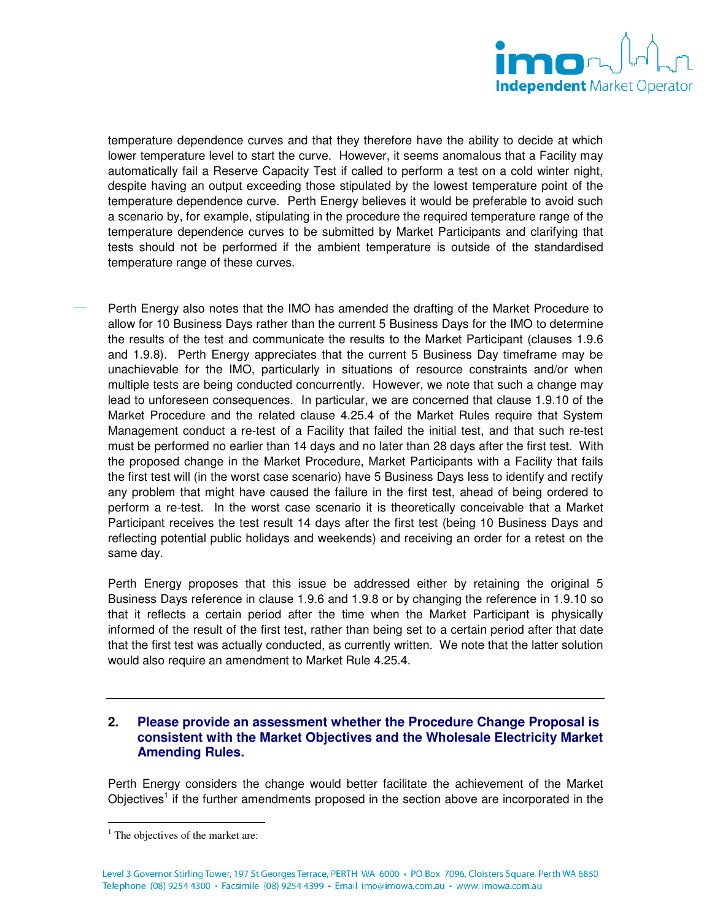

temperature dependence curves and that they therefore have the ability to decide at which lower temperature level to start the curve. However, it seems anomalous that a Facility may automatically fail a Reserve Capacity Test if called to perform a test on a cold winter night, despite having an output exceeding those stipulated by the lowest temperature point of the temperature dependence curve. Perth Energy believes it would be preferable to avoid such a scenario by, for example, stipulating in the procedure the required temperature range of the temperature dependence curves to be submitted by Market Participants and clarifying that tests should not be performed if the ambient temperature is outside of the standardised temperature range of these curves.

Perth Energy also notes that the IMO has amended the drafting of the Market Procedure to allow for 10 Business Days rather than the current 5 Business Days for the IMO to determine the results of the test and communicate the results to the Market Participant (clauses 1.9.6 and 1.9.8). Perth Energy appreciates that the current 5 Business Day timeframe may be unachievable for the IMO, particularly in situations of resource constraints and/or when multiple tests are being conducted concurrently. However, we note that such a change may lead to unforeseen consequences. In particular, we are concerned that clause 1.9.10 of the Market Procedure and the related clause 4.25.4 of the Market Rules require that System Management conduct a re-test of a Facility that failed the initial test, and that such re-test must be performed no earlier than 14 days and no later than 28 days after the first test. With the proposed change in the Market Procedure, Market Participants with a Facility that fails the first test will (in the worst case scenario) have 5 Business Days less to identify and rectify any problem that might have caused the failure in the first test, ahead of being ordered to perform a re-test. In the worst case scenario it is theoretically conceivable that a Market Participant receives the test result 14 days after the first test (being 10 Business Days and reflecting potential public holidays and weekends) and receiving an order for a retest on the same day.

Perth Energy proposes that this issue be addressed either by retaining the original 5 Business Days reference in clause 1.9.6 and 1.9.8 or by changing the reference in 1.9.10 so that it reflects a certain period after the time when the Market Participant is physically informed of the result of the first test, rather than being set to a certain period after that date that the first test was actually conducted, as currently written. We note that the latter solution would also require an amendment to Market Rule 4.25.4.

# **2. Please provide an assessment whether the Procedure Change Proposal is consistent with the Market Objectives and the Wholesale Electricity Market Amending Rules.**

Perth Energy considers the change would better facilitate the achievement of the Market Objectives<sup>1</sup> if the further amendments proposed in the section above are incorporated in the

-

 $<sup>1</sup>$  The objectives of the market are:</sup>